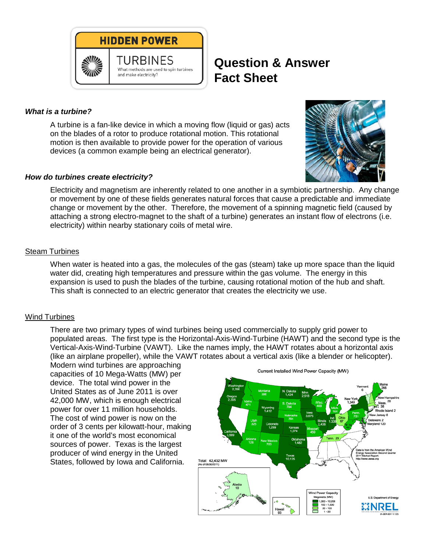

# **Question & Answer Fact Sheet**

### *What is a turbine?*

A turbine is a fan-like device in which a moving flow (liquid or gas) acts on the blades of a rotor to produce rotational motion. This rotational motion is then available to provide power for the operation of various devices (a common example being an electrical generator).



#### *How do turbines create electricity?*

Electricity and magnetism are inherently related to one another in a symbiotic partnership. Any change or movement by one of these fields generates natural forces that cause a predictable and immediate change or movement by the other. Therefore, the movement of a spinning magnetic field (caused by attaching a strong electro-magnet to the shaft of a turbine) generates an instant flow of electrons (i.e. electricity) within nearby stationary coils of metal wire.

#### Steam Turbines

When water is heated into a gas, the molecules of the gas (steam) take up more space than the liquid water did, creating high temperatures and pressure within the gas volume. The energy in this expansion is used to push the blades of the turbine, causing rotational motion of the hub and shaft. This shaft is connected to an electric generator that creates the electricity we use.

#### Wind Turbines

There are two primary types of wind turbines being used commercially to supply grid power to populated areas. The first type is the Horizontal-Axis-Wind-Turbine (HAWT) and the second type is the Vertical-Axis-Wind-Turbine (VAWT). Like the names imply, the HAWT rotates about a horizontal axis (like an airplane propeller), while the VAWT rotates about a vertical axis (like a blender or helicopter).

Modern wind turbines are approaching capacities of 10 Mega-Watts (MW) per device. The total wind power in the United States as of June 2011 is over 42,000 MW, which is enough electrical power for over 11 million households. The cost of wind power is now on the order of 3 cents per kilowatt-hour, making it one of the world's most economical sources of power. Texas is the largest producer of wind energy in the United States, followed by Iowa and California.



Current Installed Wind Power Capacity (MW)